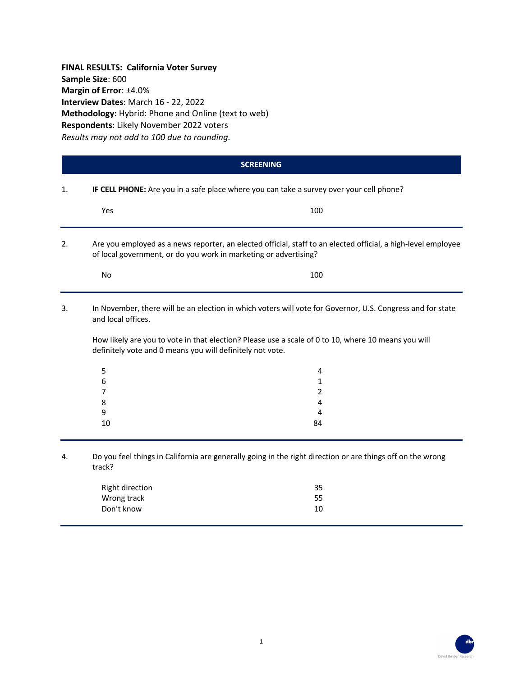**FINAL RESULTS: California Voter Survey Sample Size**: 600 **Margin of Error**: ±4.0% **Interview Dates**: March 16 - 22, 2022 **Methodology:** Hybrid: Phone and Online (text to web) **Respondents**: Likely November 2022 voters *Results may not add to 100 due to rounding.*

|    |                                                                                          | <b>SCREENING</b>                                                                                                                                                                                                  |  |  |
|----|------------------------------------------------------------------------------------------|-------------------------------------------------------------------------------------------------------------------------------------------------------------------------------------------------------------------|--|--|
| 1. | IF CELL PHONE: Are you in a safe place where you can take a survey over your cell phone? |                                                                                                                                                                                                                   |  |  |
|    | Yes                                                                                      | 100                                                                                                                                                                                                               |  |  |
| 2. |                                                                                          | Are you employed as a news reporter, an elected official, staff to an elected official, a high-level employee<br>of local government, or do you work in marketing or advertising?                                 |  |  |
|    | No                                                                                       | 100                                                                                                                                                                                                               |  |  |
| 3. | and local offices.<br>definitely vote and 0 means you will definitely not vote.          | In November, there will be an election in which voters will vote for Governor, U.S. Congress and for state<br>How likely are you to vote in that election? Please use a scale of 0 to 10, where 10 means you will |  |  |
|    | 5<br>6<br>7<br>8<br>9<br>10                                                              | 4<br>1<br>2<br>4<br>4<br>84                                                                                                                                                                                       |  |  |
| 4. | track?                                                                                   | Do you feel things in California are generally going in the right direction or are things off on the wrong                                                                                                        |  |  |

| Right direction | 35 |
|-----------------|----|
| Wrong track     | 55 |
| Don't know      | 10 |
|                 |    |

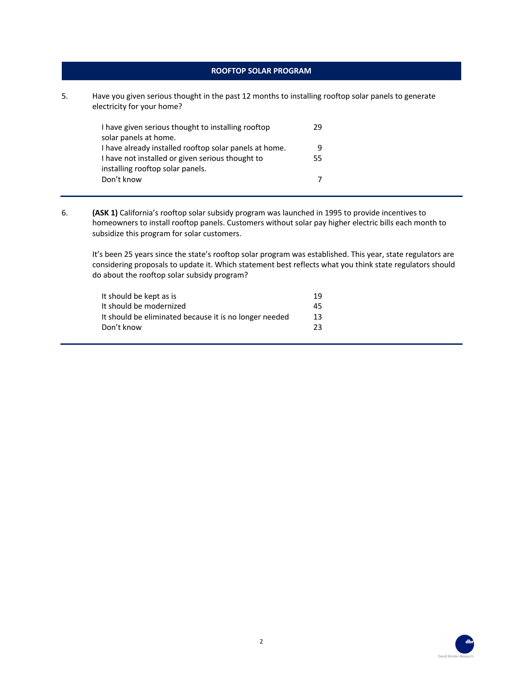### **ROOFTOP SOLAR PROGRAM**

5. Have you given serious thought in the past 12 months to installing rooftop solar panels to generate electricity for your home?

| I have given serious thought to installing rooftop<br>solar panels at home.          | 29 |
|--------------------------------------------------------------------------------------|----|
| I have already installed rooftop solar panels at home.                               | 9  |
| I have not installed or given serious thought to<br>installing rooftop solar panels. | 55 |
| Don't know                                                                           |    |

6. **(ASK 1)** California's rooftop solar subsidy program was launched in 1995 to provide incentives to homeowners to install rooftop panels. Customers without solar pay higher electric bills each month to subsidize this program for solar customers.

It's been 25 years since the state's rooftop solar program was established. This year, state regulators are considering proposals to update it. Which statement best reflects what you think state regulators should do about the rooftop solar subsidy program?

| It should be kept as is                                | 19  |
|--------------------------------------------------------|-----|
| It should be modernized                                | 45  |
| It should be eliminated because it is no longer needed | 13. |
| Don't know                                             | 23. |

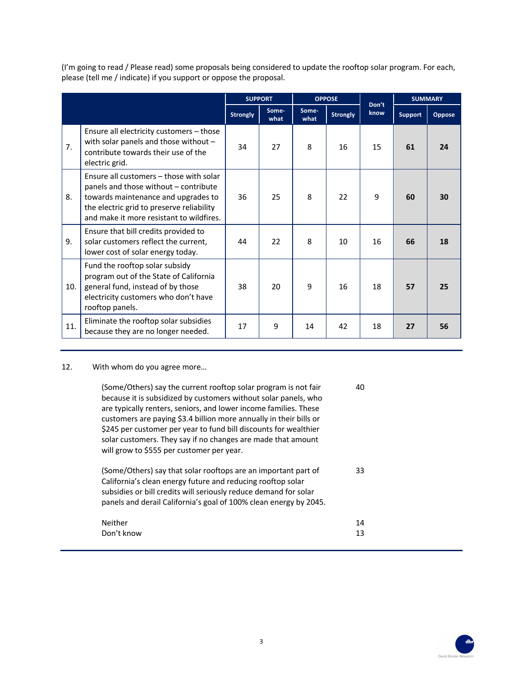(I'm going to read / Please read) some proposals being considered to update the rooftop solar program. For each, please (tell me / indicate) if you support or oppose the proposal.

|     |                                                                                                                                                                                                                  | <b>SUPPORT</b>  |               | <b>OPPOSE</b> |                 | Don't | <b>SUMMARY</b> |        |
|-----|------------------------------------------------------------------------------------------------------------------------------------------------------------------------------------------------------------------|-----------------|---------------|---------------|-----------------|-------|----------------|--------|
|     |                                                                                                                                                                                                                  | <b>Strongly</b> | Some-<br>what | Some-<br>what | <b>Strongly</b> | know  | <b>Support</b> | Oppose |
| 7.  | Ensure all electricity customers - those<br>with solar panels and those without -<br>contribute towards their use of the<br>electric grid.                                                                       | 34              | 27            | 8             | 16              | 15    | 61             | 24     |
| 8.  | Ensure all customers – those with solar<br>panels and those without – contribute<br>towards maintenance and upgrades to<br>the electric grid to preserve reliability<br>and make it more resistant to wildfires. | 36              | 25            | 8             | 22              | 9     | 60             | 30     |
| 9.  | Ensure that bill credits provided to<br>solar customers reflect the current,<br>lower cost of solar energy today.                                                                                                | 44              | 22            | 8             | 10              | 16    | 66             | 18     |
| 10. | Fund the rooftop solar subsidy<br>program out of the State of California<br>general fund, instead of by those<br>electricity customers who don't have<br>rooftop panels.                                         | 38              | 20            | 9             | 16              | 18    | 57             | 25     |
| 11. | Eliminate the rooftop solar subsidies<br>because they are no longer needed.                                                                                                                                      | 17              | 9             | 14            | 42              | 18    | 27             | 56     |

# 12. With whom do you agree more…

| (Some/Others) say the current rooftop solar program is not fair<br>because it is subsidized by customers without solar panels, who<br>are typically renters, seniors, and lower income families. These<br>customers are paying \$3.4 billion more annually in their bills or<br>\$245 per customer per year to fund bill discounts for wealthier<br>solar customers. They say if no changes are made that amount<br>will grow to \$555 per customer per year. | 40       |
|---------------------------------------------------------------------------------------------------------------------------------------------------------------------------------------------------------------------------------------------------------------------------------------------------------------------------------------------------------------------------------------------------------------------------------------------------------------|----------|
| (Some/Others) say that solar rooftops are an important part of<br>California's clean energy future and reducing rooftop solar<br>subsidies or bill credits will seriously reduce demand for solar<br>panels and derail California's goal of 100% clean energy by 2045.                                                                                                                                                                                        | 33       |
| Neither<br>Don't know                                                                                                                                                                                                                                                                                                                                                                                                                                         | 14<br>13 |

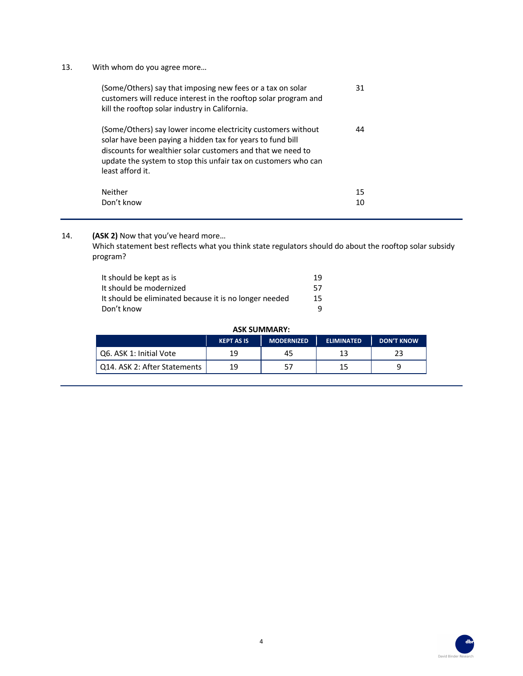## 13. With whom do you agree more…

| (Some/Others) say that imposing new fees or a tax on solar<br>customers will reduce interest in the rooftop solar program and<br>kill the rooftop solar industry in California.                                                                                                 | 31 |  |
|---------------------------------------------------------------------------------------------------------------------------------------------------------------------------------------------------------------------------------------------------------------------------------|----|--|
| (Some/Others) say lower income electricity customers without<br>solar have been paying a hidden tax for years to fund bill<br>discounts for wealthier solar customers and that we need to<br>update the system to stop this unfair tax on customers who can<br>least afford it. | 44 |  |
| Neither                                                                                                                                                                                                                                                                         | 15 |  |
| Don't know                                                                                                                                                                                                                                                                      | 10 |  |

14. **(ASK 2)** Now that you've heard more…

Which statement best reflects what you think state regulators should do about the rooftop solar subsidy program?

| It should be kept as is                                | 19 |
|--------------------------------------------------------|----|
| It should be modernized                                | 57 |
| It should be eliminated because it is no longer needed | 15 |
| Don't know                                             |    |

#### **ASK SUMMARY:**

|                              | <b>KEPT AS IS</b> | <b>MODERNIZED</b> | <b>ELIMINATED</b> | <b>DON'T KNOW</b> |
|------------------------------|-------------------|-------------------|-------------------|-------------------|
| Q6. ASK 1: Initial Vote      | 19                | 45                | 13                |                   |
| Q14. ASK 2: After Statements | 19                |                   |                   |                   |

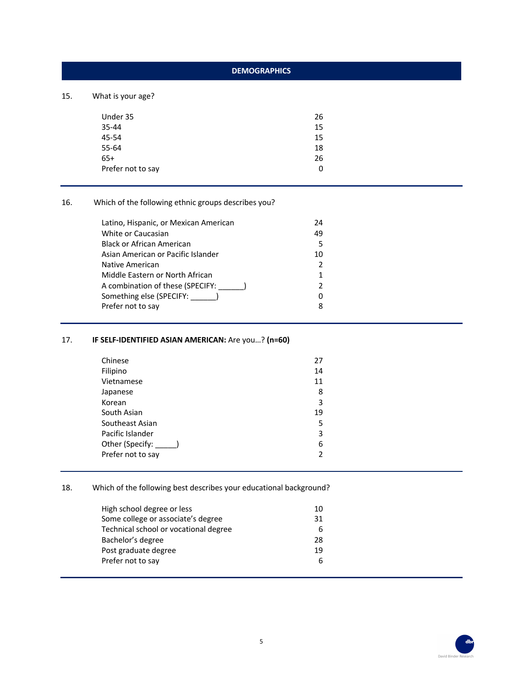# **DEMOGRAPHICS**

15. What is your age?

| Under 35          | 26 |
|-------------------|----|
| 35-44             | 15 |
| 45-54             | 15 |
| 55-64             | 18 |
| 65+               | 26 |
| Prefer not to say | 0  |
|                   |    |

16. Which of the following ethnic groups describes you?

| Latino, Hispanic, or Mexican American | 24 |  |
|---------------------------------------|----|--|
| White or Caucasian                    | 49 |  |
| <b>Black or African American</b>      | 5  |  |
| Asian American or Pacific Islander    | 10 |  |
| Native American                       |    |  |
| Middle Eastern or North African       |    |  |
| A combination of these (SPECIFY:      |    |  |
| Something else (SPECIFY: )            | 0  |  |
| Prefer not to say                     | 8  |  |
|                                       |    |  |

# 17. **IF SELF-IDENTIFIED ASIAN AMERICAN:** Are you…? **(n=60)**

| Chinese           | 27 |
|-------------------|----|
| Filipino          | 14 |
| Vietnamese        | 11 |
| Japanese          | 8  |
| Korean            | 3  |
| South Asian       | 19 |
| Southeast Asian   | 5  |
| Pacific Islander  | 3  |
| Other (Specify:   | 6  |
| Prefer not to say | 2  |
|                   |    |

# 18. Which of the following best describes your educational background?

| High school degree or less            | 10 |
|---------------------------------------|----|
| Some college or associate's degree    | 31 |
| Technical school or vocational degree | 6  |
| Bachelor's degree                     | 28 |
| Post graduate degree                  | 19 |
| Prefer not to say                     | 6  |
|                                       |    |

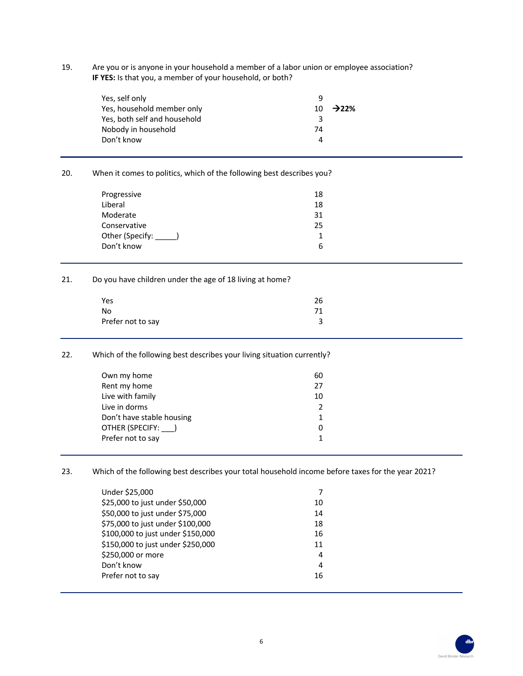19. Are you or is anyone in your household a member of a labor union or employee association? **IF YES:** Is that you, a member of your household, or both?

| Yes, self only               | q  |                      |
|------------------------------|----|----------------------|
| Yes, household member only   |    | 10 $\rightarrow$ 22% |
| Yes, both self and household | ર  |                      |
| Nobody in household          | 74 |                      |
| Don't know                   |    |                      |

### 20. When it comes to politics, which of the following best describes you?

| 18<br>18 |
|----------|
| 31<br>25 |
| 1<br>6   |
|          |

#### 21. Do you have children under the age of 18 living at home?

| Yes               | 26 |
|-------------------|----|
| No                | 71 |
| Prefer not to say |    |

### 22. Which of the following best describes your living situation currently?

| Own my home               | 60 |
|---------------------------|----|
| Rent my home              | 27 |
| Live with family          | 10 |
| Live in dorms             |    |
| Don't have stable housing |    |
| OTHER (SPECIFY: )         |    |
| Prefer not to say         |    |
|                           |    |

23. Which of the following best describes your total household income before taxes for the year 2021?

| Under \$25,000                    |    |
|-----------------------------------|----|
| \$25,000 to just under \$50,000   | 10 |
| \$50,000 to just under \$75,000   | 14 |
| \$75,000 to just under \$100,000  | 18 |
| \$100,000 to just under \$150,000 | 16 |
| \$150,000 to just under \$250,000 | 11 |
| \$250,000 or more                 | 4  |
| Don't know                        | 4  |
| Prefer not to say                 | 16 |
|                                   |    |